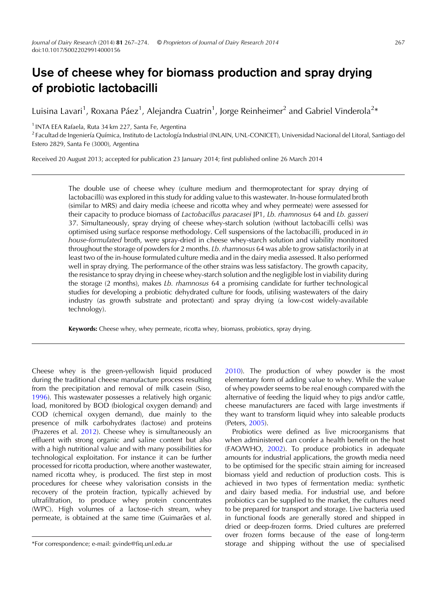# Use of cheese whey for biomass production and spray drying of probiotic lactobacilli

Luisina Lavari<sup>1</sup>, Roxana Páez<sup>1</sup>, Alejandra Cuatrin<sup>1</sup>, Jorge Reinheimer<sup>2</sup> and Gabriel Vinderola<sup>2</sup>\*

<sup>1</sup> INTA EEA Rafaela, Ruta 34 km 227, Santa Fe, Argentina

<sup>2</sup> Facultad de Ingeniería Química, Instituto de Lactología Industrial (INLAIN, UNL-CONICET), Universidad Nacional del Litoral, Santiago del Estero 2829, Santa Fe (3000), Argentina

Received 20 August 2013; accepted for publication 23 January 2014; first published online 26 March 2014

The double use of cheese whey (culture medium and thermoprotectant for spray drying of lactobacilli) was explored in this study for adding value to this wastewater. In-house formulated broth (similar to MRS) and dairy media (cheese and ricotta whey and whey permeate) were assessed for their capacity to produce biomass of Lactobacillus paracasei JP1, Lb. rhamnosus 64 and Lb. gasseri 37. Simultaneously, spray drying of cheese whey-starch solution (without lactobacilli cells) was optimised using surface response methodology. Cell suspensions of the lactobacilli, produced in in house-formulated broth, were spray-dried in cheese whey-starch solution and viability monitored throughout the storage of powders for 2 months. Lb. rhamnosus 64 was able to grow satisfactorily in at least two of the in-house formulated culture media and in the dairy media assessed. It also performed well in spray drying. The performance of the other strains was less satisfactory. The growth capacity, the resistance to spray drying in cheese whey-starch solution and the negligible lost in viability during the storage (2 months), makes *Lb. rhamnosus* 64 a promising candidate for further technological studies for developing a probiotic dehydrated culture for foods, utilising wastewaters of the dairy industry (as growth substrate and protectant) and spray drying (a low-cost widely-available technology).

Keywords: Cheese whey, whey permeate, ricotta whey, biomass, probiotics, spray drying.

Cheese whey is the green-yellowish liquid produced during the traditional cheese manufacture process resulting from the precipitation and removal of milk casein (Siso, [1996\)](#page-7-0). This wastewater possesses a relatively high organic load, monitored by BOD (biological oxygen demand) and COD (chemical oxygen demand), due mainly to the presence of milk carbohydrates (lactose) and proteins (Prazeres et al. [2012](#page-7-0)). Cheese whey is simultaneously an effluent with strong organic and saline content but also with a high nutritional value and with many possibilities for technological exploitation. For instance it can be further processed for ricotta production, where another wastewater, named ricotta whey, is produced. The first step in most procedures for cheese whey valorisation consists in the recovery of the protein fraction, typically achieved by ultrafiltration, to produce whey protein concentrates (WPC). High volumes of a lactose-rich stream, whey permeate, is obtained at the same time (Guimarães et al.

[2010\)](#page-6-0). The production of whey powder is the most elementary form of adding value to whey. While the value of whey powder seems to be real enough compared with the alternative of feeding the liquid whey to pigs and/or cattle, cheese manufacturers are faced with large investments if they want to transform liquid whey into saleable products (Peters, [2005](#page-7-0)).

Probiotics were defined as live microorganisms that when administered can confer a health benefit on the host (FAO/WHO, [2002](#page-6-0)). To produce probiotics in adequate amounts for industrial applications, the growth media need to be optimised for the specific strain aiming for increased biomass yield and reduction of production costs. This is achieved in two types of fermentation media: synthetic and dairy based media. For industrial use, and before probiotics can be supplied to the market, the cultures need to be prepared for transport and storage. Live bacteria used in functional foods are generally stored and shipped in dried or deep-frozen forms. Dried cultures are preferred over frozen forms because of the ease of long-term \*For correspondence; e-mail: gvinde@fiq.unl.edu.ar storage and shipping without the use of specialised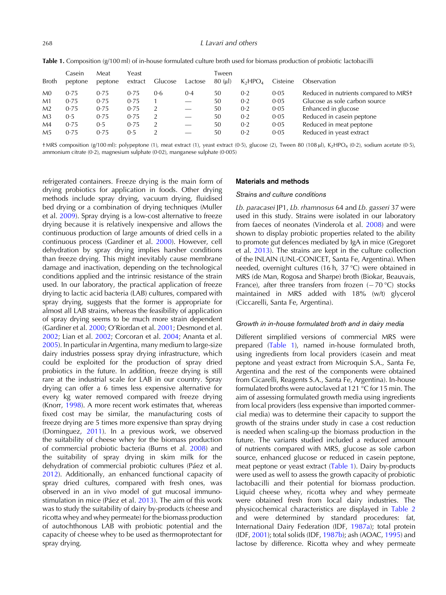| <b>Broth</b>   | Casein<br>peptone | Meat<br>peptone | Yeast<br>extract | Glucose | Lactose                  | Tween<br>$80 \, (ul)$ | $K_2HPO_4$ | Cisteine | Observation                           |
|----------------|-------------------|-----------------|------------------|---------|--------------------------|-----------------------|------------|----------|---------------------------------------|
| MO             | 0.75              | 0.75            | 0.75             | 0.6     | 0.4                      | 50                    | 0.2        | 0.05     | Reduced in nutrients compared to MRS+ |
| M1             | 0.75              | 0.75            | 0.75             |         | $\overline{\phantom{a}}$ | 50                    | 0.2        | 0.05     | Glucose as sole carbon source         |
| M <sub>2</sub> | 0.75              | 0.75            | 0.75             |         | $\overline{\phantom{0}}$ | 50                    | 0.2        | 0.05     | Enhanced in glucose                   |
| M <sub>3</sub> | 0.5               | 0.75            | 0.75             |         | $\overline{\phantom{0}}$ | 50                    | 0.2        | 0.05     | Reduced in casein peptone             |
| M <sub>4</sub> | 0.75              | 0.5             | 0.75             |         | $\overline{\phantom{0}}$ | 50                    | 0.2        | 0.05     | Reduced in meat peptone               |
| M <sub>5</sub> | 0.75              | 0.75            | 0.5              |         | $\overline{\phantom{0}}$ | 50                    | 0.2        | 0.05     | Reduced in yeast extract              |

<span id="page-1-0"></span>Table 1. Composition (g/100 ml) of in-house formulated culture broth used for biomass production of probiotic lactobacilli

†MRS composition (g/100 ml): polypeptone (1), meat extract (1), yeast extract (0·5), glucose (2), Tween 80 (108 μl), K<sub>2</sub>HPO<sub>4</sub> (0·2), sodium acetate (0·5), ammonium citrate (0·2), magnesium sulphate (0·02), manganese sulphate (0·005)

refrigerated containers. Freeze drying is the main form of drying probiotics for application in foods. Other drying methods include spray drying, vacuum drying, fluidised bed drying or a combination of drying techniques (Muller et al. [2009\)](#page-6-0). Spray drying is a low-cost alternative to freeze drying because it is relatively inexpensive and allows the continuous production of large amounts of dried cells in a continuous process (Gardiner et al. [2000](#page-6-0)). However, cell dehydration by spray drying implies harsher conditions than freeze drying. This might inevitably cause membrane damage and inactivation, depending on the technological conditions applied and the intrinsic resistance of the strain used. In our laboratory, the practical application of freeze drying to lactic acid bacteria (LAB) cultures, compared with spray drying, suggests that the former is appropriate for almost all LAB strains, whereas the feasibility of application of spray drying seems to be much more strain dependent (Gardiner et al. [2000;](#page-6-0) O'Riordan et al. [2001](#page-7-0); Desmond et al. [2002;](#page-6-0) Lian et al. [2002](#page-6-0); Corcoran et al. [2004;](#page-6-0) Ananta et al. [2005\)](#page-6-0). In particular in Argentina, many medium to large-size dairy industries possess spray drying infrastructure, which could be exploited for the production of spray dried probiotics in the future. In addition, freeze drying is still rare at the industrial scale for LAB in our country. Spray drying can offer a 6 times less expensive alternative for every kg water removed compared with freeze drying (Knorr, [1998](#page-6-0)). A more recent work estimates that, whereas fixed cost may be similar, the manufacturing costs of freeze drying are 5 times more expensive than spray drying (Dominguez, [2011\)](#page-6-0). In a previous work, we observed the suitability of cheese whey for the biomass production of commercial probiotic bacteria (Burns et al. [2008\)](#page-6-0) and the suitability of spray drying in skim milk for the dehydration of commercial probiotic cultures (Páez et al. [2012\)](#page-7-0). Additionally, an enhanced functional capacity of spray dried cultures, compared with fresh ones, was observed in an in vivo model of gut mucosal immunostimulation in mice (Páez et al. [2013](#page-7-0)). The aim of this work was to study the suitability of dairy by-products (cheese and ricotta whey and whey permeate) for the biomass production of autochthonous LAB with probiotic potential and the capacity of cheese whey to be used as thermoprotectant for spray drying.

#### Materials and methods

## Strains and culture conditions

Lb. paracasei JP1, Lb. rhamnosus 64 and Lb. gasseri 37 were used in this study. Strains were isolated in our laboratory from faeces of neonates (Vinderola et al. [2008\)](#page-7-0) and were shown to display probiotic properties related to the ability to promote gut defences mediated by IgA in mice (Gregoret et al. [2013](#page-6-0)). The strains are kept in the culture collection of the INLAIN (UNL-CONICET, Santa Fe, Argentina). When needed, overnight cultures (16 h, 37 °C) were obtained in MRS (de Man, Rogosa and Sharpe) broth (Biokar, Beauvais, France), after three transfers from frozen  $(-70 \degree C)$  stocks maintained in MRS added with 18% (w/t) glycerol (Ciccarelli, Santa Fe, Argentina).

# Growth in in-house formulated broth and in dairy media

Different simplified versions of commercial MRS were prepared (Table 1), named in-house formulated broth, using ingredients from local providers (casein and meat peptone and yeast extract from Microquin S.A., Santa Fe, Argentina and the rest of the components were obtained from Cicarelli, Reagents S.A., Santa Fe, Argentina). In-house formulated broths were autoclaved at 121 °C for 15 min. The aim of assessing formulated growth media using ingredients from local providers (less expensive than imported commercial media) was to determine their capacity to support the growth of the strains under study in case a cost reduction is needed when scaling-up the biomass production in the future. The variants studied included a reduced amount of nutrients compared with MRS, glucose as sole carbon source, enhanced glucose or reduced in casein peptone, meat peptone or yeast extract (Table 1). Dairy by-products were used as well to assess the growth capacity of probiotic lactobacilli and their potential for biomass production. Liquid cheese whey, ricotta whey and whey permeate were obtained fresh from local dairy industries. The physicochemical characteristics are displayed in [Table 2](#page-2-0) and were determined by standard procedures: fat, International Dairy Federation (IDF, [1987a](#page-6-0)); total protein (IDF, [2001](#page-6-0)); total solids (IDF, [1987b](#page-6-0)); ash (AOAC, [1995\)](#page-6-0) and lactose by difference. Ricotta whey and whey permeate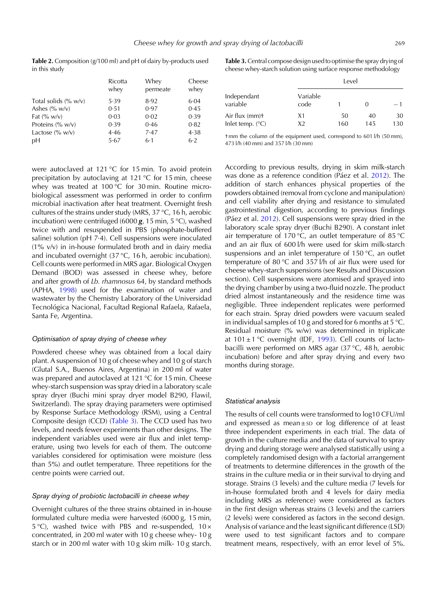<span id="page-2-0"></span>Table 2. Composition (g/100 ml) and pH of dairy by-products used in this study

| <b>Table 3.</b> Central compose design used to optimise the spray drying of |  |  |  |
|-----------------------------------------------------------------------------|--|--|--|
| cheese whey-starch solution using surface response methodology              |  |  |  |

|                              | Ricotta<br>whey | Whey<br>permeate | Cheese<br>whey |
|------------------------------|-----------------|------------------|----------------|
| Total solids (% w/v)         | 5.39            | 8.92             | 6.04           |
| Ashes $\frac{9}{6}$ w/v)     | 0.51            | 0.97             | 0.45           |
| Fat $\left(\%\ w/\nu\right)$ | 0.03            | 0.02             | 0.39           |
| Proteins $(\% w/v)$          | 0.39            | 0.46             | 0.82           |
| Lactose $\frac{9}{6}$ w/v)   | 4.46            | 7.47             | 4.38           |
| рH                           | 5.67            | $6-1$            | $6-2$          |

Independant variable Level Variable  $\code \qquad \qquad 1 \qquad \qquad 0 \qquad \qquad -1$ Air flux (mm) +  $X1$  50 40 30<br>
Inlet temp (°C)  $X2$  160 145 130 Inlet temp. (°C)  $\begin{array}{ccc} X2 & 160 & 145 & 130 \end{array}$ 

†mm the column of the equipment used, correspond to 601 l/h (50 mm), 473 l/h (40 mm) and 357 l/h (30 mm)

were autoclaved at 121 °C for 15 min. To avoid protein precipitation by autoclaving at 121 °C for 15 min, cheese whey was treated at 100 °C for 30 min. Routine microbiological assessment was performed in order to confirm microbial inactivation after heat treatment. Overnight fresh cultures of the strains under study (MRS, 37 °C, 16 h, aerobic incubation) were centrifuged (6000 *g*, 15 min, 5 °C), washed twice with and resuspended in PBS (phosphate-buffered saline) solution (pH 7·4). Cell suspensions were inoculated  $(1\% \text{ v/v})$  in in-house formulated broth and in dairy media and incubated overnight (37 °C, 16 h, aerobic incubation). Cell counts were performed in MRS agar. Biological Oxygen Demand (BOD) was assessed in cheese whey, before and after growth of Lb. rhamnosus 64, by standard methods (APHA, [1998\)](#page-6-0) used for the examination of water and wastewater by the Chemistry Laboratory of the Universidad Tecnológica Nacional, Facultad Regional Rafaela, Rafaela, Santa Fe, Argentina.

# Optimisation of spray drying of cheese whey

Powdered cheese whey was obtained from a local dairy plant. A suspension of 10 g of cheese whey and 10 g of starch (Glutal S.A., Buenos Aires, Argentina) in 200 ml of water was prepared and autoclaved at 121 °C for 15 min. Cheese whey-starch suspension was spray dried in a laboratory scale spray dryer (Buchi mini spray dryer model B290, Flawil, Switzerland). The spray draying parameters were optimised by Response Surface Methodology (RSM), using a Central Composite design (CCD) (Table 3). The CCD used has two levels, and needs fewer experiments than other designs. The independent variables used were air flux and inlet temperature, using two levels for each of them. The outcome variables considered for optimisation were moisture (less than 5%) and outlet temperature. Three repetitions for the centre points were carried out.

#### Spray drying of probiotic lactobacilli in cheese whey

Overnight cultures of the three strains obtained in in-house formulated culture media were harvested (6000 g, 15 min, 5 °C), washed twice with PBS and re-suspended,  $10 \times$ concentrated, in 200 ml water with 10 g cheese whey- 10 g starch or in 200 ml water with 10 g skim milk- 10 g starch.

According to previous results, drying in skim milk-starch was done as a reference condition (Páez et al. [2012\)](#page-7-0). The addition of starch enhances physical properties of the powders obtained (removal from cyclone and manipulation) and cell viability after drying and resistance to simulated gastrointestinal digestion, according to previous findings (Páez et al. [2012](#page-7-0)). Cell suspensions were spray dried in the laboratory scale spray dryer (Buchi B290). A constant inlet air temperature of 170 °C, an outlet temperature of 85 °C and an air flux of 600 l/h were used for skim milk-starch suspensions and an inlet temperature of 150 °C, an outlet temperature of 80 °C and 357 l/h of air flux were used for cheese whey-starch suspensions (see Results and Discussion section). Cell suspensions were atomised and sprayed into the drying chamber by using a two-fluid nozzle. The product dried almost instantaneously and the residence time was negligible. Three independent replicates were performed for each strain. Spray dried powders were vacuum sealed in individual samples of 10 g and stored for 6 months at 5  $\degree$ C. Residual moisture (% w/w) was determined in triplicate at  $101 \pm 1$  °C overnight (IDF, [1993\)](#page-6-0). Cell counts of lactobacilli were performed on MRS agar (37 °C, 48 h, aerobic incubation) before and after spray drying and every two months during storage.

## Statistical analysis

The results of cell counts were transformed to log10 CFU/ml and expressed as mean $\pm$ sp or log difference of at least three independent experiments in each trial. The data of growth in the culture media and the data of survival to spray drying and during storage were analysed statistically using a completely randomised design with a factorial arrangement of treatments to determine differences in the growth of the strains in the culture media or in their survival to drying and storage. Strains (3 levels) and the culture media (7 levels for in-house formulated broth and 4 levels for dairy media including MRS as reference) were considered as factors in the first design whereas strains (3 levels) and the carriers (2 levels) were considered as factors in the second design. Analysis of variance and the least significant difference (LSD) were used to test significant factors and to compare treatment means, respectively, with an error level of 5%.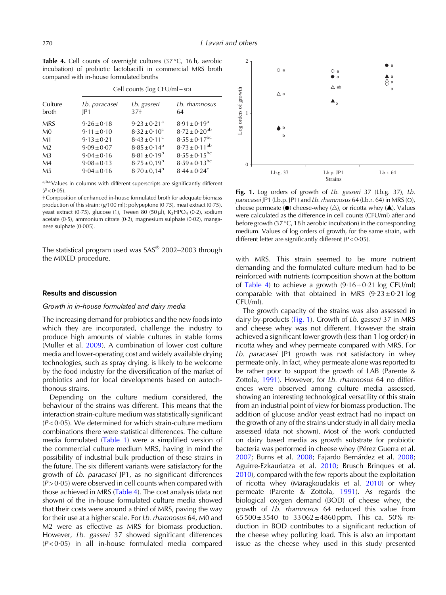Table 4. Cell counts of overnight cultures (37 °C, 16 h, aerobic incubation) of probiotic lactobacilli in commercial MRS broth compared with in-house formulated broths

| Culture<br>broth | Lb. paracasei<br>IP <sub>1</sub> | Lb. gasseri<br>$37+$         | Lb. rhamnosus<br>64           |
|------------------|----------------------------------|------------------------------|-------------------------------|
| <b>MRS</b>       | $9.26 \pm 0.18$                  | $9.23 \pm 0.21$ <sup>a</sup> | $8.91 \pm 0.19^a$             |
| M <sub>0</sub>   | $9.11 \pm 0.10$                  | $8.32 \pm 0.10^{\circ}$      | $8.72 \pm 0.20^{ab}$          |
| M1               | $9.13 \pm 0.21$                  | $8.43 \pm 0.11$ <sup>c</sup> | $8.55 \pm 0.17$ <sup>bc</sup> |
| M <sub>2</sub>   | $9.09 \pm 0.07$                  | $8.85 \pm 0.14^b$            | $8.73 \pm 0.11^{ab}$          |
| M <sub>3</sub>   | $9.04 \pm 0.16$                  | $8.81 \pm 0.19^{b}$          | $8.55 \pm 0.15^{bc}$          |
| M4               | $9.08 \pm 0.13$                  | $8.75 \pm 0.19^b$            | $8.59 \pm 0.13$ <sup>bc</sup> |
| M <sub>5</sub>   | $9.04 \pm 0.16$                  | $8.70 \pm 0.14^b$            | $8.44 \pm 0.24$ <sup>c</sup>  |

Cell counts ( $log CFU/ml \pm SD$ )

a,b,cValues in columns with different superscripts are significantly different  $(P < 0.05)$ 

†Composition of enhanced in-house formulated broth for adequate biomass production of this strain: (g/100 ml): polypeptone (0·75), meat extract (0·75), yeast extract (0·75), glucose (1), Tween 80 (50 µl),  $K_2HPO_4$  (0·2), sodium acetate (0·5), ammonium citrate (0·2), magnesium sulphate (0·02), manganese sulphate (0·005).

The statistical program used was SAS® 2002–2003 through the MIXED procedure.

#### Results and discussion

## Growth in in-house formulated and dairy media

The increasing demand for probiotics and the new foods into which they are incorporated, challenge the industry to produce high amounts of viable cultures in stable forms (Muller et al. [2009\)](#page-6-0). A combination of lower cost culture media and lower-operating cost and widely available drying technologies, such as spray drying, is likely to be welcome by the food industry for the diversification of the market of probiotics and for local developments based on autochthonous strains.

Depending on the culture medium considered, the behaviour of the strains was different. This means that the interaction strain-culture medium was statistically significant  $(P<0.05)$ . We determined for which strain-culture medium combinations there were statistical differences. The culture media formulated [\(Table 1\)](#page-1-0) were a simplified version of the commercial culture medium MRS, having in mind the possibility of industrial bulk production of these strains in the future. The six different variants were satisfactory for the growth of Lb. paracasei JP1, as no significant differences  $(P> 0.05)$  were observed in cell counts when compared with those achieved in MRS (Table 4). The cost analysis (data not shown) of the in-house formulated culture media showed that their costs were around a third of MRS, paving the way for their use at a higher scale. For Lb. rhamnosus 64, M0 and M2 were as effective as MRS for biomass production. However, Lb. gasseri 37 showed significant differences  $(P<0.05)$  in all in-house formulated media compared



Fig. 1. Log orders of growth of Lb. gasseri 37 (Lb.g. 37), Lb. paracasei JP1 (Lb.p. JP1) and Lb. rhamnosus 64 (Lb.r. 64) in MRS (○), cheese permeate ( $\bullet$ ) cheese-whey ( $\triangle$ ), or ricotta whey ( $\blacktriangle$ ). Values were calculated as the difference in cell counts (CFU/ml) after and before growth (37 °C, 18 h aerobic incubation) in the corresponding medium. Values of log orders of growth, for the same strain, with different letter are significantly different  $(P < 0.05)$ .

with MRS. This strain seemed to be more nutrient demanding and the formulated culture medium had to be reinforced with nutrients (composition shown at the bottom of Table 4) to achieve a growth  $(9.16 \pm 0.21 \log CFU/ml)$ comparable with that obtained in MRS  $(9.23 \pm 0.21 \log$ CFU/ml).

The growth capacity of the strains was also assessed in dairy by-products (Fig. 1). Growth of Lb. gasseri 37 in MRS and cheese whey was not different. However the strain achieved a significant lower growth (less than 1 log order) in ricotta whey and whey permeate compared with MRS. For Lb. paracasei JP1 growth was not satisfactory in whey permeate only. In fact, whey permeate alone was reported to be rather poor to support the growth of LAB (Parente & Zottola, [1991\)](#page-7-0). However, for  $L\bar{b}$ . rhamnosus 64 no differences were observed among culture media assessed, showing an interesting technological versatility of this strain from an industrial point of view for biomass production. The addition of glucose and/or yeast extract had no impact on the growth of any of the strains under study in all dairy media assessed (data not shown). Most of the work conducted on dairy based media as growth substrate for probiotic bacteria was performed in cheese whey (Pérez Guerra et al. [2007;](#page-7-0) Burns et al. [2008](#page-6-0); Fajardo Bernárdez et al. [2008](#page-6-0); Aguirre-Ezkauriatza et al. [2010](#page-6-0); Brusch Brinques et al. [2010\)](#page-6-0), compared with the few reports about the exploitation of ricotta whey (Maragkoudakis et al. [2010](#page-6-0)) or whey permeate (Parente & Zottola, [1991\)](#page-7-0). As regards the biological oxygen demand (BOD) of cheese whey, the growth of Lb. rhamnosus 64 reduced this value from  $65\,500 \pm 3540$  to  $33\,062 \pm 4860$  ppm. This ca. 50% reduction in BOD contributes to a significant reduction of the cheese whey polluting load. This is also an important issue as the cheese whey used in this study presented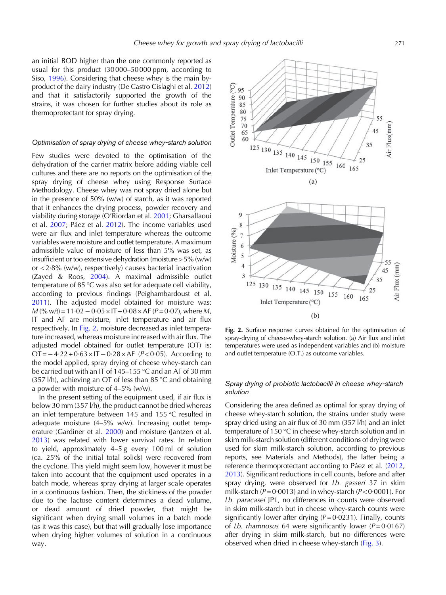an initial BOD higher than the one commonly reported as usual for this product (30 000–50 000 ppm, according to Siso, [1996\)](#page-7-0). Considering that cheese whey is the main byproduct of the dairy industry (De Castro Cislaghi et al. [2012\)](#page-6-0) and that it satisfactorily supported the growth of the strains, it was chosen for further studies about its role as thermoprotectant for spray drying.

## Optimisation of spray drying of cheese whey-starch solution

Few studies were devoted to the optimisation of the dehydration of the carrier matrix before adding viable cell cultures and there are no reports on the optimisation of the spray drying of cheese whey using Response Surface Methodology. Cheese whey was not spray dried alone but in the presence of 50% (w/w) of starch, as it was reported that it enhances the drying process, powder recovery and viability during storage (O'Riordan et al. [2001;](#page-7-0) Gharsallaoui et al. [2007;](#page-6-0) Páez et al. [2012](#page-7-0)). The income variables used were air flux and inlet temperature whereas the outcome variables were moisture and outlet temperature. A maximum admissible value of moisture of less than 5% was set, as insufficient or too extensive dehydration (moisture> 5% (w/w) or  $\langle 2.8\% \rangle$  (w/w), respectively) causes bacterial inactivation (Zayed & Roos, [2004\)](#page-7-0). A maximal admissible outlet temperature of 85 °C was also set for adequate cell viability, according to previous findings (Peighambardoust et al. [2011\)](#page-7-0). The adjusted model obtained for moisture was:  $M$  (% w/t) = 11·02 – 0·05 × IT + 0·08 × AF (P = 0·07), where M, IT and AF are moisture, inlet temperature and air flux respectively. In Fig. 2, moisture decreased as inlet temperature increased, whereas moisture increased with air flux. The adjusted model obtained for outlet temperature (OT) is:  $OT = -4.22 + 0.63 \times IT - 0.28 \times AF$  (P<0.05). According to the model applied, spray drying of cheese whey-starch can be carried out with an IT of 145–155 °C and an AF of 30 mm (357 l/h), achieving an OT of less than 85 °C and obtaining a powder with moisture of  $4-5\%$  (w/w).

In the present setting of the equipment used, if air flux is below 30 mm (357 l/h), the product cannot be dried whereas an inlet temperature between 145 and 155 °C resulted in adequate moisture (4–5% w/w). Increasing outlet temperature (Gardiner et al. [2000\)](#page-6-0) and moisture (Jantzen et al. [2013\)](#page-6-0) was related with lower survival rates. In relation to yield, approximately 4–5 g every 100 ml of solution (ca. 25% of the initial total solids) were recovered from the cyclone. This yield might seem low, however it must be taken into account that the equipment used operates in a batch mode, whereas spray drying at larger scale operates in a continuous fashion. Then, the stickiness of the powder due to the lactose content determines a dead volume, or dead amount of dried powder, that might be significant when drying small volumes in a batch mode (as it was this case), but that will gradually lose importance when drying higher volumes of solution in a continuous way.



Fig. 2. Surface response curves obtained for the optimisation of spray-drying of cheese-whey-starch solution. (a) Air flux and inlet temperatures were used as independent variables and (b) moisture and outlet temperature (O.T.) as outcome variables.

# Spray drying of probiotic lactobacilli in cheese whey-starch solution

Considering the area defined as optimal for spray drying of cheese whey-starch solution, the strains under study were spray dried using an air flux of 30 mm (357 l/h) and an inlet temperature of 150 °C in cheese whey-starch solution and in skim milk-starch solution (different conditions of drying were used for skim milk-starch solution, according to previous reports, see Materials and Methods), the latter being a reference thermoprotectant according to Páez et al. ([2012,](#page-7-0) [2013\)](#page-7-0). Significant reductions in cell counts, before and after spray drying, were observed for Lb. gasseri 37 in skim milk-starch ( $P = 0.0013$ ) and in whey-starch ( $P < 0.0001$ ). For Lb. paracasei JP1, no differences in counts were observed in skim milk-starch but in cheese whey-starch counts were significantly lower after drying  $(P= 0.0231)$ . Finally, counts of Lb. rhamnosus 64 were significantly lower  $(P= 0.0167)$ after drying in skim milk-starch, but no differences were observed when dried in cheese whey-starch ([Fig. 3](#page-5-0)).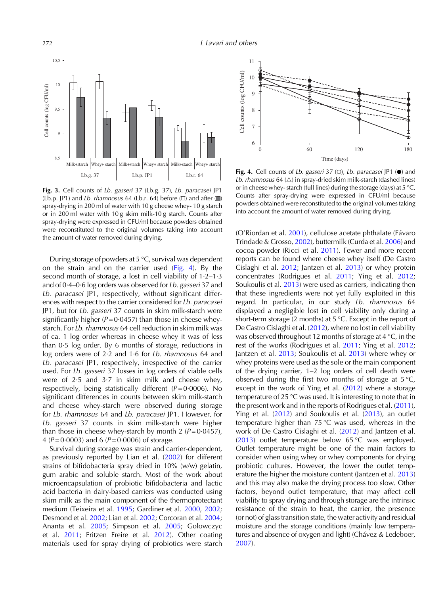<span id="page-5-0"></span>

Fig. 3. Cell counts of Lb. gasseri 37 (Lb.g. 37), Lb. paracasei JP1 (Lb.p. JP1) and Lb. rhamnosus 64 (Lb.r. 64) before  $\Box$ ) and after  $\Box$ ) spray-drying in 200 ml of water with 10 g cheese whey- 10 g starch or in 200 ml water with 10 g skim milk-10 g starch. Counts after spray-drying were expressed in CFU/ml because powders obtained were reconstituted to the original volumes taking into account the amount of water removed during drying.

During storage of powders at 5 °C, survival was dependent on the strain and on the carrier used (Fig. 4). By the second month of storage, a lost in cell viability of 1·2–1·3 and of 0·4–0·6 log orders was observed for Lb. gasseri 37 and Lb. paracasei JP1, respectively, without significant differences with respect to the carrier considered for Lb. paracasei JP1, but for Lb. gasseri 37 counts in skim milk-starch were significantly higher ( $P = 0.0457$ ) than those in cheese wheystarch. For Lb. rhamnosus 64 cell reduction in skim milk was of ca. 1 log order whereas in cheese whey it was of less than 0·5 log order. By 6 months of storage, reductions in log orders were of 2·2 and 1·6 for Lb. rhamnosus 64 and Lb. paracasei JP1, respectively, irrespective of the carrier used. For Lb. gasseri 37 losses in log orders of viable cells were of 2·5 and 3·7 in skim milk and cheese whey, respectively, being statistically different  $(P= 0.0006)$ . No significant differences in counts between skim milk-starch and cheese whey-starch were observed during storage for Lb. rhamnosus 64 and Lb. paracasei JP1. However, for Lb. gasseri 37 counts in skim milk-starch were higher than those in cheese whey-starch by month 2  $(P= 0.0457)$ , 4 ( $P = 0.0003$ ) and 6 ( $P = 0.0006$ ) of storage.

Survival during storage was strain and carrier-dependent, as previously reported by Lian et al. ([2002\)](#page-6-0) for different strains of bifidobacteria spray dried in 10% (w/w) gelatin, gum arabic and soluble starch. Most of the work about microencapsulation of probiotic bifidobacteria and lactic acid bacteria in dairy-based carriers was conducted using skim milk as the main component of the thermoprotectant medium (Teixeira et al. [1995;](#page-7-0) Gardiner et al. [2000](#page-6-0), [2002](#page-6-0); Desmond et al. [2002;](#page-6-0) Lian et al. [2002](#page-6-0); Corcoran et al. [2004](#page-6-0); Ananta et al. [2005;](#page-6-0) Simpson et al. [2005](#page-7-0); Golowczyc et al. [2011;](#page-6-0) Fritzen Freire et al. [2012\)](#page-6-0). Other coating materials used for spray drying of probiotics were starch



Fig. 4. Cell counts of Lb. gasseri 37 (○), Lb. paracasei JP1 (●) and Lb. rhamnosus 64 ( $\triangle$ ) in spray-dried skim milk-starch (dashed lines) or in cheese whey- starch (full lines) during the storage (days) at 5 °C. Counts after spray-drying were expressed in CFU/ml because powders obtained were reconstituted to the original volumes taking into account the amount of water removed during drying.

(O'Riordan et al. [2001](#page-7-0)), cellulose acetate phthalate (Fávaro Trindade & Grosso, [2002\)](#page-6-0), buttermilk (Curda et al. [2006](#page-6-0)) and cocoa powder (Ricci et al. [2011\)](#page-7-0). Fewer and more recent reports can be found where cheese whey itself (De Castro Cislaghi et al. [2012;](#page-6-0) Jantzen et al. [2013](#page-6-0)) or whey protein concentrates (Rodrigues et al. [2011;](#page-7-0) Ying et al. [2012](#page-7-0); Soukoulis et al. [2013\)](#page-7-0) were used as carriers, indicating then that these ingredients were not yet fully exploited in this regard. In particular, in our study Lb. rhamnosus 64 displayed a negligible lost in cell viability only during a short-term storage (2 months) at 5 °C. Except in the report of De Castro Cislaghi et al. [\(2012](#page-6-0)), where no lost in cell viability was observed throughout 12 months of storage at 4 °C, in the rest of the works (Rodrigues et al. [2011;](#page-7-0) Ying et al. [2012](#page-7-0); Jantzen et al. [2013](#page-6-0); Soukoulis et al. [2013\)](#page-7-0) where whey or whey proteins were used as the sole or the main component of the drying carrier, 1–2 log orders of cell death were observed during the first two months of storage at 5 °C, except in the work of Ying et al. [\(2012](#page-7-0)) where a storage temperature of 25 °C was used. It is interesting to note that in the present work and in the reports of Rodrigues et al. ([2011\)](#page-7-0), Ying et al. [\(2012](#page-7-0)) and Soukoulis et al. ([2013\)](#page-7-0), an outlet temperature higher than 75 °C was used, whereas in the work of De Castro Cislaghi et al. ([2012\)](#page-6-0) and Jantzen et al. [\(2013](#page-6-0)) outlet temperature below 65 °C was employed. Outlet temperature might be one of the main factors to consider when using whey or whey components for drying probiotic cultures. However, the lower the outlet temperature the higher the moisture content (Jantzen et al. [2013](#page-6-0)) and this may also make the drying process too slow. Other factors, beyond outlet temperature, that may affect cell viability to spray drying and through storage are the intrinsic resistance of the strain to heat, the carrier, the presence (or not) of glass transition state, the water activity and residual moisture and the storage conditions (mainly low temperatures and absence of oxygen and light) (Chávez & Ledeboer, [2007\)](#page-6-0).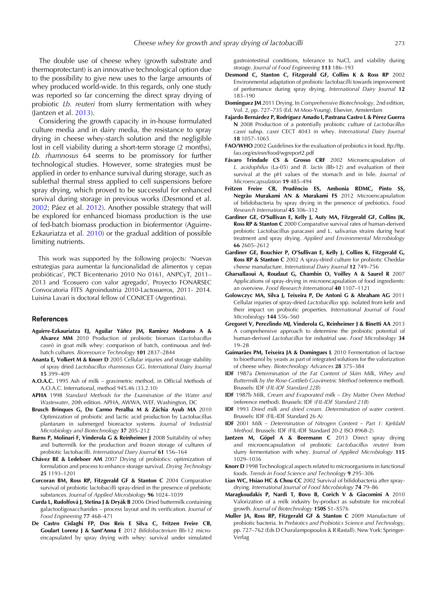<span id="page-6-0"></span>The double use of cheese whey (growth substrate and thermoprotectant) is an innovative technological option due to the possibility to give new uses to the large amounts of whey produced world-wide. In this regards, only one study was reported so far concerning the direct spray drying of probiotic Lb. reuteri from slurry fermentation with whey (Jantzen et al. 2013).

Considering the growth capacity in in-house formulated culture media and in dairy media, the resistance to spray drying in cheese whey-starch solution and the negligible lost in cell viability during a short-term storage (2 months), Lb. rhamnosus 64 seems to be promissory for further technological studies. However, some strategies must be applied in order to enhance survival during storage, such as sublethal thermal stress applied to cell suspensions before spray drying, which proved to be successful for enhanced survival during storage in previous works (Desmond et al. 2002; Páez et al. [2012](#page-7-0)). Another possible strategy that will be explored for enhanced biomass production is the use of fed-batch biomass production in biofermentor (Aguirre-Ezkauriatza et al. 2010) or the gradual addition of possible limiting nutrients.

This work was supported by the following projects: 'Nuevas estrategias para aumentar la funcionalidad de alimentos y cepas probióticas', PICT Bicentenario 2010 No 0161, ANPCyT, 2011– 2013 and 'Ecosuero con valor agregado', Proyecto FONARSEC Convocatoria FITS Agroindustria 2010-Lactosueros, 2011- 2014. Luisina Lavari is doctoral fellow of CONICET (Argentina).

#### References

- Aguirre-Ezkauriatza EJ, Aguilar Yáñez JM, Ramírez Medrano A & Alvarez MM 2010 Production of probiotic biomass (Lactobacillus casei) in goat milk whey: comparison of batch, continuous and fedbatch cultures. Bioresource Technology 101 2837–2844
- Ananta E, Volkert M & Knorr D 2005 Cellular injuries and storage stability of spray dried Lactobacillus rhamnosus GG. International Dairy Journal 15 399–409
- A.O.A.C. 1995 Ash of milk gravimetric method, in Official Methods of A.O.A.C. International, method 945.46 (33.2.10)
- APHA 1998 Standard Methods for the Examination of the Water and Wastewater, 20th edition. APHA, AWWA, WEF, Washington, DC
- Brusch Brinques G, Do Carmo Peralba M & Záchia Ayub MA 2010 Optimization of probiotic and lactic acid production by Lactobacillus plantarum in submerged bioreactor systems. Journal of Industrial Microbiology and Biotechnology 37 205–212
- Burns P, Molinari F, Vinderola G & Reinheimer J 2008 Suitability of whey and buttermilk for the production and frozen storage of cultures of probiotic lactobacilli. International Dairy Journal 61 156–164
- Chávez BE & Ledeboer AM 2007 Drying of probiotics: optimization of formulation and process to enhance storage survival. Drying Technology 25 1193–1201
- Corcoran BM, Ross RP, Fitzgerald GF & Stanton C 2004 Comparative survival of probiotic lactobacilli spray-dried in the presence of prebiotic substances. Journal of Applied Microbiology 96 1024–1039
- Curda L, Rudolfová J, Stetina J & Dryák B 2006 Dried buttermilk containing galactooligosaccharides – process layout and its verification. Journal of Food Engineering 77 468–471
- De Castro Cislaghi FP, Dos Reis E Silva C, Fritzen Freire CB, Goulart Lorenz J & Sant'Anna E 2012 Bifidobacterium Bb-12 microencapsulated by spray drying with whey: survival under simulated

gastrointestinal conditions, tolerance to NaCl, and viability during storage. Journal of Food Engineering 113 186–193

- Desmond C, Stanton C, Fitzgerald GF, Collins K & Ross RP 2002 Environmental adaptation of probiotic lactobacilli towards improvement of performance during spray drying. International Dairy Journal 12 183–190
- Dominguez JM 2011 Drying. In Comprehensive Biotechnology, 2nd edition, Vol. 2, pp. 727–735 (Ed. M Moo-Young). Elsevier, Amsterdam
- Fajardo Bernárdez P, Rodríguez Amado I, Pastrana Castro L & Pérez Guerra N 2008 Production of a potentially probiotic culture of Lactobacillus casei subsp. casei CECT 4043 in whey. International Dairy Journal 18 1057–1065
- FAO/WHO 2002 Guidelines for the evaluation of probiotics in food. ftp://ftp. fao.org/es/esn/food/wgreport2.pdf
- Fávaro Trindade CS & Grosso CRF 2002 Microencapsulation of L. acidophilus (La-05) and B. lactis (Bb-12) and evaluation of their survival at the pH values of the stomach and in bile. Journal of Microencapsulation 19 485–494
- Fritzen Freire CB, Prudêncio ES, Ambonia RDMC, Pinto SS, Negrão Murakami AN & Murakami FS 2012 Microencapsulation of bifidobacteria by spray drying in the presence of prebiotics. Food Research International 45 306–312
- Gardiner GE, O'Sullivan E, Kelly J, Auty MA, Fitzgerald GF, Collins JK, Ross RP & Stanton C 2000 Comparative survival rates of human-derived probiotic Lactobacillus paracasei and L. salivarius strains during heat treatment and spray drying. Applied and Environmental Microbiology 66 2605–2612
- Gardiner GE, Bouchier P, O'Sullivan E, Kelly J, Collins K, Fitzgerald G, Ross RP & Stanton C 2002 A spray-dried culture for probiotic Cheddar cheese manufacture. International Dairy Journal 12 749–756
- Gharsallaoui A, Roudaut G, Chambin O, Voilley A & Saurel R 2007 Applications of spray-drying in microencapsulation of food ingredients: an overview. Food Research International 40 1107–1121
- Golowczyc MA, Silva J, Teixeira P, De Antoni G & Abraham AG 2011 Cellular injuries of spray-dried Lactobacillus spp. isolated from kefir and their impact on probiotic properties. International Journal of Food Microbiology 144 556–560
- Gregoret V, Perezlindo MJ, Vinderola G, Reinheimer J & Binetti AA 2013 A comprehensive approach to determine the probiotic potential of human-derived Lactobacillus for industrial use. Food Microbiology 34 19–28
- Guimarães PM, Teixeira JA & Domingues L 2010 Fermentation of lactose to bioethanol by yeasts as part of integrated solutions for the valorization of cheese whey. Biotechnology Advances 28 375–384
- IDF 1987a Determination of the Fat Content of Skim Milk, Whey and Buttermilk by the Rose-Gottlieb Gravimetric Method (reference method). Brussels: IDF (FIL-IDF Standard 22B)
- IDF 1987b Milk, Cream and Evaporated milk Dry Matter Oven Method (reference method). Brussels: IDF (FIL-IDF Standard 21B)
- IDF 1993 Dried milk and dried cream. Determination of water content. Brussels: IDF (FIL-IDF Standard 26 A)
- IDF 2001 Milk Determination of Nitrogen Content Part 1: Kjeldahl Method. Brussels: IDF (FIL-IDF Standard 20-2 ISO 8968-2)
- Jantzen M, Göpel A & Beermann C 2013 Direct spray drying and microencapsulation of probiotic Lactobacillus reuteri from slurry fermentation with whey. Journal of Applied Microbiology 115 1029–1036
- Knorr D 1998 Technological aspects related to microorganisms in functional foods. Trends in Food Science and Technology 9 295–306
- Lian WC, Hsiao HC & Chou CC 2002 Survival of bifidobacteria after spraydrying. International Journal of Food Microbiology 74 79–86
- Maragkoudakis P, Nardi T, Bovo B, Corich V & Giacomini A 2010 Valorization of a milk industry by-product as substrate for microbial growth. Journal of Biotechnology 150S S1–S576
- Muller JA, Ross RP, Fitzgerald GF & Stanton C 2009 Manufacture of probiotic bacteria. In Prebiotics and Probiotics Science and Technology, pp. 727–762 (Eds D Charalampopoulos & R Rastall). New York: Springer-Verlag